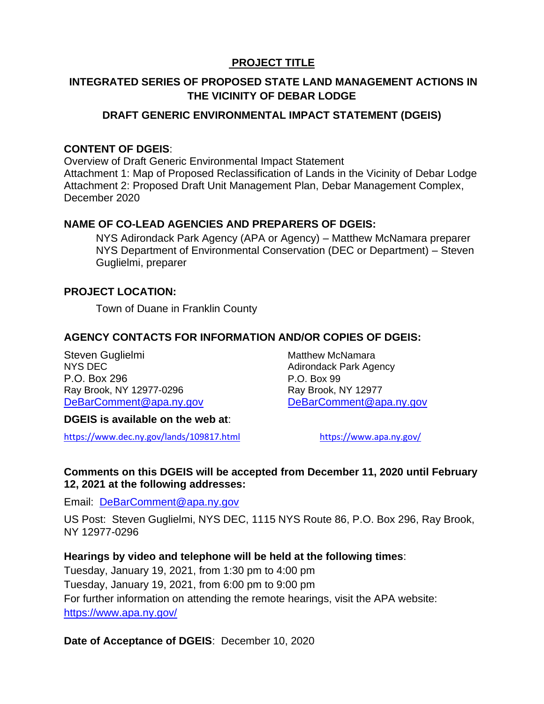## **PROJECT TITLE**

#### **INTEGRATED SERIES OF PROPOSED STATE LAND MANAGEMENT ACTIONS IN THE VICINITY OF DEBAR LODGE**

#### **DRAFT GENERIC ENVIRONMENTAL IMPACT STATEMENT (DGEIS)**

#### **CONTENT OF DGEIS**:

Overview of Draft Generic Environmental Impact Statement Attachment 1: Map of Proposed Reclassification of Lands in the Vicinity of Debar Lodge Attachment 2: Proposed Draft Unit Management Plan, Debar Management Complex, December 2020

#### **NAME OF CO-LEAD AGENCIES AND PREPARERS OF DGEIS:**

NYS Adirondack Park Agency (APA or Agency) – Matthew McNamara preparer NYS Department of Environmental Conservation (DEC or Department) – Steven Guglielmi, preparer

#### **PROJECT LOCATION:**

Town of Duane in Franklin County

#### **AGENCY CONTACTS FOR INFORMATION AND/OR COPIES OF DGEIS:**

Steven Guglielmi and Matthew McNamara<br>
NYS DFC Adirondack Park Age P.O. Box 296 P.O. Box 99 Ray Brook, NY 12977-0296

Adirondack Park Agency [DeBarComment@apa.ny.gov](mailto:DeBarComment@apa.ny.gov) [DeBarComment@apa.ny.gov](mailto:DeBarComment@apa.ny.gov)

#### **DGEIS is available on the web at**:

<https://www.dec.ny.gov/lands/109817.html><https://www.apa.ny.gov/>

#### **Comments on this DGEIS will be accepted from December 11, 2020 until February 12, 2021 at the following addresses:**

Email: [DeBarComment@apa.ny.gov](mailto:DeBarComment@apa.ny.gov)

US Post: Steven Guglielmi, NYS DEC, 1115 NYS Route 86, P.O. Box 296, Ray Brook, NY 12977-0296

#### **Hearings by video and telephone will be held at the following times**:

Tuesday, January 19, 2021, from 1:30 pm to 4:00 pm Tuesday, January 19, 2021, from 6:00 pm to 9:00 pm For further information on attending the remote hearings, visit the APA website: <https://www.apa.ny.gov/>

#### **Date of Acceptance of DGEIS**: December 10, 2020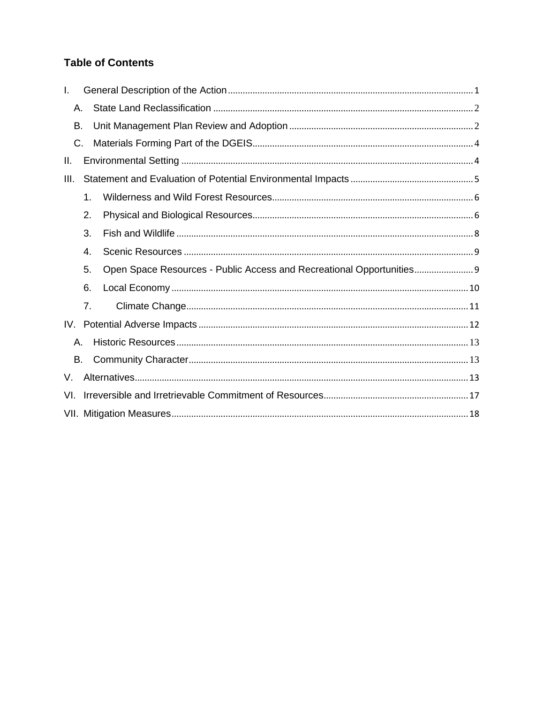## **Table of Contents**

| I.   |    |                                                                     |
|------|----|---------------------------------------------------------------------|
| Α.   |    |                                                                     |
| В.   |    |                                                                     |
| С.   |    |                                                                     |
| II.  |    |                                                                     |
| III. |    |                                                                     |
|      | 1. |                                                                     |
|      | 2. |                                                                     |
|      | 3. |                                                                     |
|      | 4. |                                                                     |
|      | 5. | Open Space Resources - Public Access and Recreational Opportunities |
|      | 6. |                                                                     |
|      | 7. |                                                                     |
|      |    |                                                                     |
| Α.   |    |                                                                     |
| В.   |    |                                                                     |
| V.   |    |                                                                     |
| VI.  |    |                                                                     |
|      |    |                                                                     |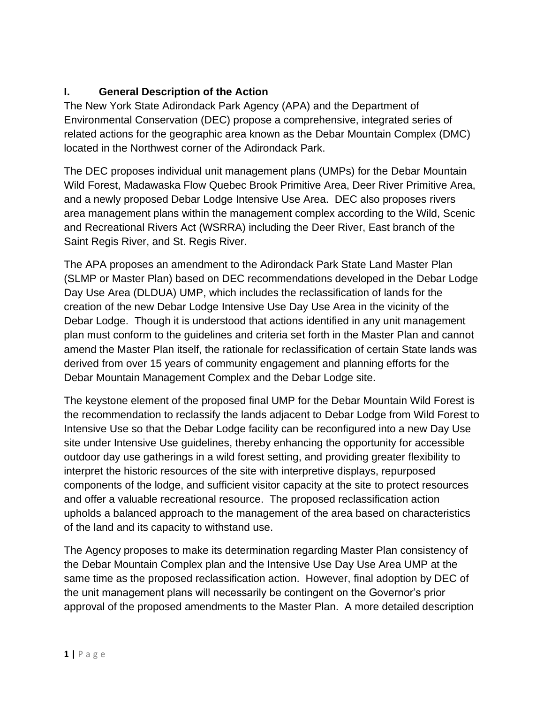## <span id="page-2-0"></span>**I. General Description of the Action**

The New York State Adirondack Park Agency (APA) and the Department of Environmental Conservation (DEC) propose a comprehensive, integrated series of related actions for the geographic area known as the Debar Mountain Complex (DMC) located in the Northwest corner of the Adirondack Park.

The DEC proposes individual unit management plans (UMPs) for the Debar Mountain Wild Forest, Madawaska Flow Quebec Brook Primitive Area, Deer River Primitive Area, and a newly proposed Debar Lodge Intensive Use Area. DEC also proposes rivers area management plans within the management complex according to the Wild, Scenic and Recreational Rivers Act (WSRRA) including the Deer River, East branch of the Saint Regis River, and St. Regis River.

The APA proposes an amendment to the Adirondack Park State Land Master Plan (SLMP or Master Plan) based on DEC recommendations developed in the Debar Lodge Day Use Area (DLDUA) UMP, which includes the reclassification of lands for the creation of the new Debar Lodge Intensive Use Day Use Area in the vicinity of the Debar Lodge. Though it is understood that actions identified in any unit management plan must conform to the guidelines and criteria set forth in the Master Plan and cannot amend the Master Plan itself, the rationale for reclassification of certain State lands was derived from over 15 years of community engagement and planning efforts for the Debar Mountain Management Complex and the Debar Lodge site.

The keystone element of the proposed final UMP for the Debar Mountain Wild Forest is the recommendation to reclassify the lands adjacent to Debar Lodge from Wild Forest to Intensive Use so that the Debar Lodge facility can be reconfigured into a new Day Use site under Intensive Use guidelines, thereby enhancing the opportunity for accessible outdoor day use gatherings in a wild forest setting, and providing greater flexibility to interpret the historic resources of the site with interpretive displays, repurposed components of the lodge, and sufficient visitor capacity at the site to protect resources and offer a valuable recreational resource. The proposed reclassification action upholds a balanced approach to the management of the area based on characteristics of the land and its capacity to withstand use.

The Agency proposes to make its determination regarding Master Plan consistency of the Debar Mountain Complex plan and the Intensive Use Day Use Area UMP at the same time as the proposed reclassification action. However, final adoption by DEC of the unit management plans will necessarily be contingent on the Governor's prior approval of the proposed amendments to the Master Plan. A more detailed description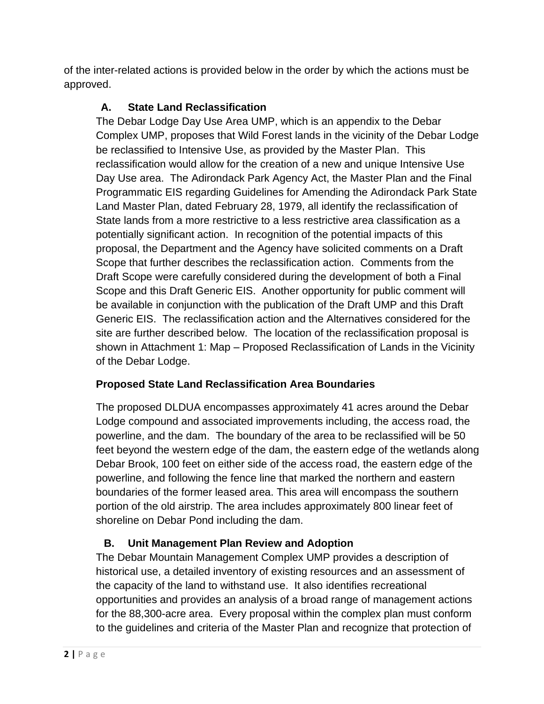<span id="page-3-0"></span>of the inter-related actions is provided below in the order by which the actions must be approved.

# **A. State Land Reclassification**

The Debar Lodge Day Use Area UMP, which is an appendix to the Debar Complex UMP, proposes that Wild Forest lands in the vicinity of the Debar Lodge be reclassified to Intensive Use, as provided by the Master Plan. This reclassification would allow for the creation of a new and unique Intensive Use Day Use area. The Adirondack Park Agency Act, the Master Plan and the Final Programmatic EIS regarding Guidelines for Amending the Adirondack Park State Land Master Plan, dated February 28, 1979, all identify the reclassification of State lands from a more restrictive to a less restrictive area classification as a potentially significant action. In recognition of the potential impacts of this proposal, the Department and the Agency have solicited comments on a Draft Scope that further describes the reclassification action. Comments from the Draft Scope were carefully considered during the development of both a Final Scope and this Draft Generic EIS. Another opportunity for public comment will be available in conjunction with the publication of the Draft UMP and this Draft Generic EIS. The reclassification action and the Alternatives considered for the site are further described below. The location of the reclassification proposal is shown in Attachment 1: Map – Proposed Reclassification of Lands in the Vicinity of the Debar Lodge.

# **Proposed State Land Reclassification Area Boundaries**

The proposed DLDUA encompasses approximately 41 acres around the Debar Lodge compound and associated improvements including, the access road, the powerline, and the dam. The boundary of the area to be reclassified will be 50 feet beyond the western edge of the dam, the eastern edge of the wetlands along Debar Brook, 100 feet on either side of the access road, the eastern edge of the powerline, and following the fence line that marked the northern and eastern boundaries of the former leased area. This area will encompass the southern portion of the old airstrip. The area includes approximately 800 linear feet of shoreline on Debar Pond including the dam.

# **B. Unit Management Plan Review and Adoption**

<span id="page-3-1"></span>The Debar Mountain Management Complex UMP provides a description of historical use, a detailed inventory of existing resources and an assessment of the capacity of the land to withstand use. It also identifies recreational opportunities and provides an analysis of a broad range of management actions for the 88,300-acre area. Every proposal within the complex plan must conform to the guidelines and criteria of the Master Plan and recognize that protection of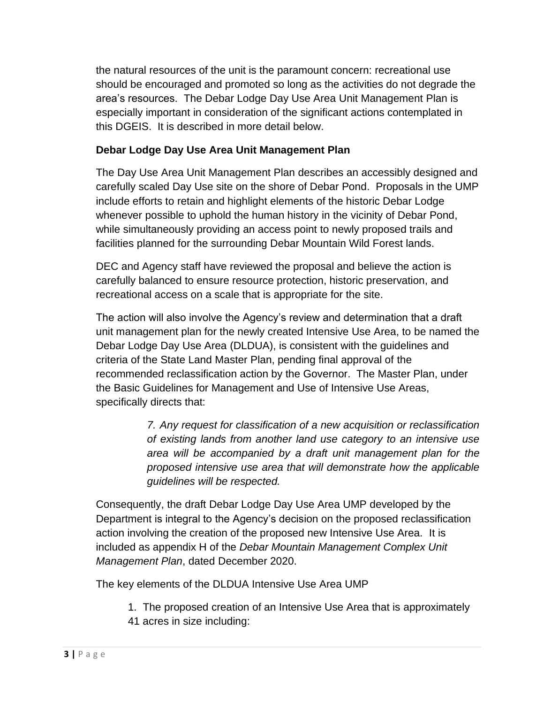the natural resources of the unit is the paramount concern: recreational use should be encouraged and promoted so long as the activities do not degrade the area's resources. The Debar Lodge Day Use Area Unit Management Plan is especially important in consideration of the significant actions contemplated in this DGEIS. It is described in more detail below.

#### **Debar Lodge Day Use Area Unit Management Plan**

The Day Use Area Unit Management Plan describes an accessibly designed and carefully scaled Day Use site on the shore of Debar Pond. Proposals in the UMP include efforts to retain and highlight elements of the historic Debar Lodge whenever possible to uphold the human history in the vicinity of Debar Pond, while simultaneously providing an access point to newly proposed trails and facilities planned for the surrounding Debar Mountain Wild Forest lands.

DEC and Agency staff have reviewed the proposal and believe the action is carefully balanced to ensure resource protection, historic preservation, and recreational access on a scale that is appropriate for the site.

The action will also involve the Agency's review and determination that a draft unit management plan for the newly created Intensive Use Area, to be named the Debar Lodge Day Use Area (DLDUA), is consistent with the guidelines and criteria of the State Land Master Plan, pending final approval of the recommended reclassification action by the Governor. The Master Plan, under the Basic Guidelines for Management and Use of Intensive Use Areas, specifically directs that:

> *7. Any request for classification of a new acquisition or reclassification of existing lands from another land use category to an intensive use area will be accompanied by a draft unit management plan for the proposed intensive use area that will demonstrate how the applicable guidelines will be respected.*

Consequently, the draft Debar Lodge Day Use Area UMP developed by the Department is integral to the Agency's decision on the proposed reclassification action involving the creation of the proposed new Intensive Use Area. It is included as appendix H of the *Debar Mountain Management Complex Unit Management Plan*, dated December 2020.

The key elements of the DLDUA Intensive Use Area UMP

1. The proposed creation of an Intensive Use Area that is approximately 41 acres in size including: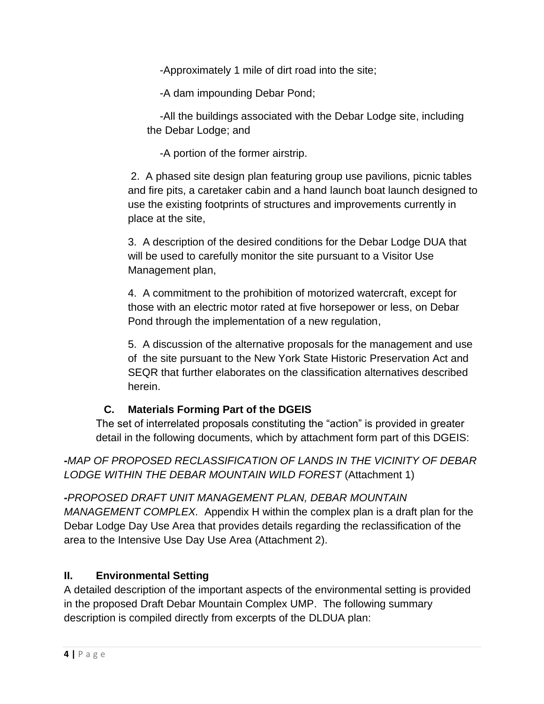-Approximately 1 mile of dirt road into the site;

-A dam impounding Debar Pond;

-All the buildings associated with the Debar Lodge site, including the Debar Lodge; and

-A portion of the former airstrip.

2. A phased site design plan featuring group use pavilions, picnic tables and fire pits, a caretaker cabin and a hand launch boat launch designed to use the existing footprints of structures and improvements currently in place at the site,

3. A description of the desired conditions for the Debar Lodge DUA that will be used to carefully monitor the site pursuant to a Visitor Use Management plan,

4. A commitment to the prohibition of motorized watercraft, except for those with an electric motor rated at five horsepower or less, on Debar Pond through the implementation of a new regulation,

5. A discussion of the alternative proposals for the management and use of the site pursuant to the New York State Historic Preservation Act and SEQR that further elaborates on the classification alternatives described herein.

# **C. Materials Forming Part of the DGEIS**

<span id="page-5-0"></span>The set of interrelated proposals constituting the "action" is provided in greater detail in the following documents, which by attachment form part of this DGEIS:

*-MAP OF PROPOSED RECLASSIFICATION OF LANDS IN THE VICINITY OF DEBAR LODGE WITHIN THE DEBAR MOUNTAIN WILD FOREST* (Attachment 1)

*-PROPOSED DRAFT UNIT MANAGEMENT PLAN, DEBAR MOUNTAIN MANAGEMENT COMPLEX.* Appendix H within the complex plan is a draft plan for the Debar Lodge Day Use Area that provides details regarding the reclassification of the area to the Intensive Use Day Use Area (Attachment 2).

# <span id="page-5-1"></span>**II. Environmental Setting**

A detailed description of the important aspects of the environmental setting is provided in the proposed Draft Debar Mountain Complex UMP. The following summary description is compiled directly from excerpts of the DLDUA plan: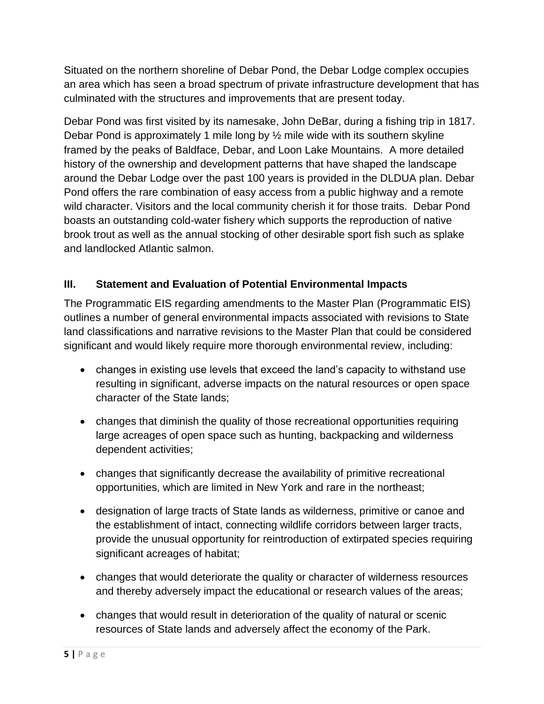Situated on the northern shoreline of Debar Pond, the Debar Lodge complex occupies an area which has seen a broad spectrum of private infrastructure development that has culminated with the structures and improvements that are present today.

Debar Pond was first visited by its namesake, John DeBar, during a fishing trip in 1817. Debar Pond is approximately 1 mile long by ½ mile wide with its southern skyline framed by the peaks of Baldface, Debar, and Loon Lake Mountains. A more detailed history of the ownership and development patterns that have shaped the landscape around the Debar Lodge over the past 100 years is provided in the DLDUA plan. Debar Pond offers the rare combination of easy access from a public highway and a remote wild character. Visitors and the local community cherish it for those traits. Debar Pond boasts an outstanding cold-water fishery which supports the reproduction of native brook trout as well as the annual stocking of other desirable sport fish such as splake and landlocked Atlantic salmon.

## <span id="page-6-0"></span>**III. Statement and Evaluation of Potential Environmental Impacts**

The Programmatic EIS regarding amendments to the Master Plan (Programmatic EIS) outlines a number of general environmental impacts associated with revisions to State land classifications and narrative revisions to the Master Plan that could be considered significant and would likely require more thorough environmental review, including:

- changes in existing use levels that exceed the land's capacity to withstand use resulting in significant, adverse impacts on the natural resources or open space character of the State lands;
- changes that diminish the quality of those recreational opportunities requiring large acreages of open space such as hunting, backpacking and wilderness dependent activities;
- changes that significantly decrease the availability of primitive recreational opportunities, which are limited in New York and rare in the northeast;
- designation of large tracts of State lands as wilderness, primitive or canoe and the establishment of intact, connecting wildlife corridors between larger tracts, provide the unusual opportunity for reintroduction of extirpated species requiring significant acreages of habitat;
- changes that would deteriorate the quality or character of wilderness resources and thereby adversely impact the educational or research values of the areas;
- changes that would result in deterioration of the quality of natural or scenic resources of State lands and adversely affect the economy of the Park.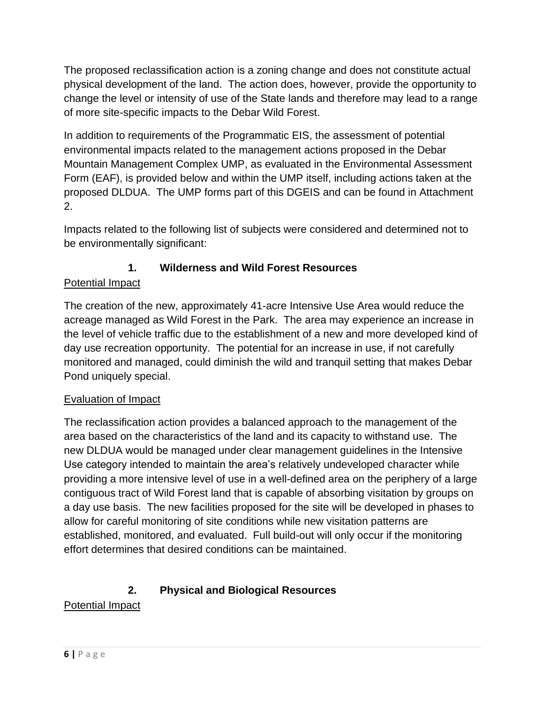The proposed reclassification action is a zoning change and does not constitute actual physical development of the land. The action does, however, provide the opportunity to change the level or intensity of use of the State lands and therefore may lead to a range of more site-specific impacts to the Debar Wild Forest.

In addition to requirements of the Programmatic EIS, the assessment of potential environmental impacts related to the management actions proposed in the Debar Mountain Management Complex UMP, as evaluated in the Environmental Assessment Form (EAF), is provided below and within the UMP itself, including actions taken at the proposed DLDUA. The UMP forms part of this DGEIS and can be found in Attachment 2.

Impacts related to the following list of subjects were considered and determined not to be environmentally significant:

# **1. Wilderness and Wild Forest Resources**

# <span id="page-7-0"></span>Potential Impact

The creation of the new, approximately 41-acre Intensive Use Area would reduce the acreage managed as Wild Forest in the Park. The area may experience an increase in the level of vehicle traffic due to the establishment of a new and more developed kind of day use recreation opportunity. The potential for an increase in use, if not carefully monitored and managed, could diminish the wild and tranquil setting that makes Debar Pond uniquely special.

# Evaluation of Impact

The reclassification action provides a balanced approach to the management of the area based on the characteristics of the land and its capacity to withstand use. The new DLDUA would be managed under clear management guidelines in the Intensive Use category intended to maintain the area's relatively undeveloped character while providing a more intensive level of use in a well-defined area on the periphery of a large contiguous tract of Wild Forest land that is capable of absorbing visitation by groups on a day use basis. The new facilities proposed for the site will be developed in phases to allow for careful monitoring of site conditions while new visitation patterns are established, monitored, and evaluated. Full build-out will only occur if the monitoring effort determines that desired conditions can be maintained.

# **2. Physical and Biological Resources**

# <span id="page-7-1"></span>Potential Impact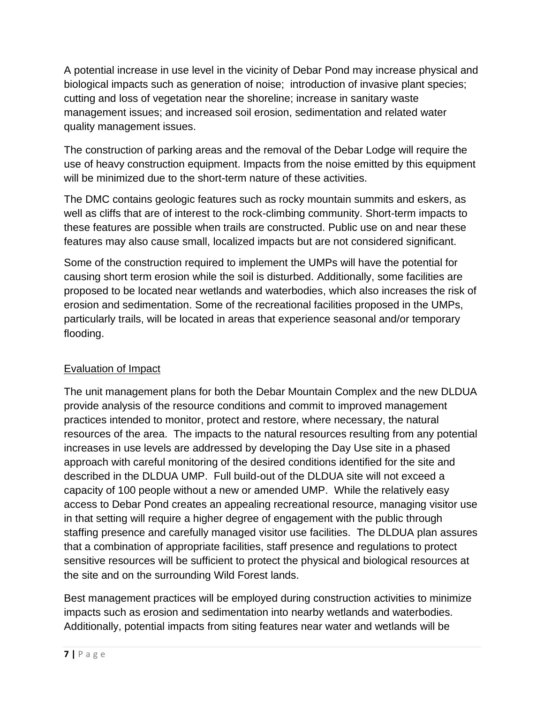A potential increase in use level in the vicinity of Debar Pond may increase physical and biological impacts such as generation of noise; introduction of invasive plant species; cutting and loss of vegetation near the shoreline; increase in sanitary waste management issues; and increased soil erosion, sedimentation and related water quality management issues.

The construction of parking areas and the removal of the Debar Lodge will require the use of heavy construction equipment. Impacts from the noise emitted by this equipment will be minimized due to the short-term nature of these activities.

The DMC contains geologic features such as rocky mountain summits and eskers, as well as cliffs that are of interest to the rock-climbing community. Short-term impacts to these features are possible when trails are constructed. Public use on and near these features may also cause small, localized impacts but are not considered significant.

Some of the construction required to implement the UMPs will have the potential for causing short term erosion while the soil is disturbed. Additionally, some facilities are proposed to be located near wetlands and waterbodies, which also increases the risk of erosion and sedimentation. Some of the recreational facilities proposed in the UMPs, particularly trails, will be located in areas that experience seasonal and/or temporary flooding.

#### Evaluation of Impact

The unit management plans for both the Debar Mountain Complex and the new DLDUA provide analysis of the resource conditions and commit to improved management practices intended to monitor, protect and restore, where necessary, the natural resources of the area. The impacts to the natural resources resulting from any potential increases in use levels are addressed by developing the Day Use site in a phased approach with careful monitoring of the desired conditions identified for the site and described in the DLDUA UMP. Full build-out of the DLDUA site will not exceed a capacity of 100 people without a new or amended UMP. While the relatively easy access to Debar Pond creates an appealing recreational resource, managing visitor use in that setting will require a higher degree of engagement with the public through staffing presence and carefully managed visitor use facilities. The DLDUA plan assures that a combination of appropriate facilities, staff presence and regulations to protect sensitive resources will be sufficient to protect the physical and biological resources at the site and on the surrounding Wild Forest lands.

Best management practices will be employed during construction activities to minimize impacts such as erosion and sedimentation into nearby wetlands and waterbodies. Additionally, potential impacts from siting features near water and wetlands will be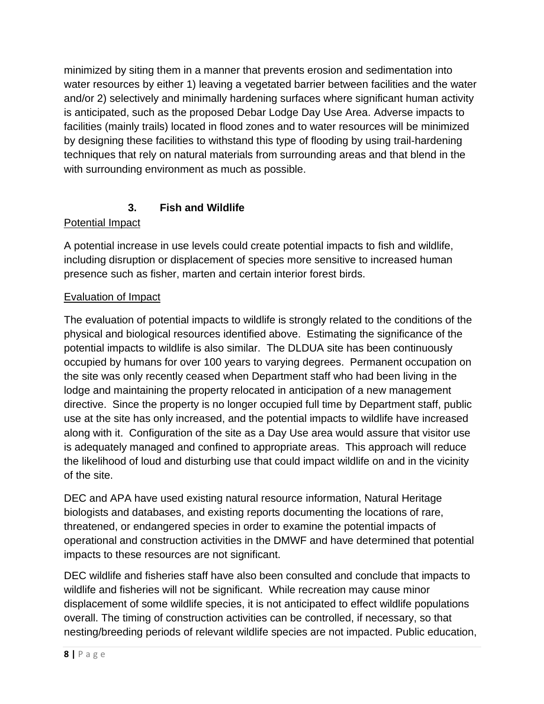minimized by siting them in a manner that prevents erosion and sedimentation into water resources by either 1) leaving a vegetated barrier between facilities and the water and/or 2) selectively and minimally hardening surfaces where significant human activity is anticipated, such as the proposed Debar Lodge Day Use Area. Adverse impacts to facilities (mainly trails) located in flood zones and to water resources will be minimized by designing these facilities to withstand this type of flooding by using trail-hardening techniques that rely on natural materials from surrounding areas and that blend in the with surrounding environment as much as possible.

## **3. Fish and Wildlife**

#### <span id="page-9-0"></span>Potential Impact

A potential increase in use levels could create potential impacts to fish and wildlife, including disruption or displacement of species more sensitive to increased human presence such as fisher, marten and certain interior forest birds.

#### Evaluation of Impact

The evaluation of potential impacts to wildlife is strongly related to the conditions of the physical and biological resources identified above. Estimating the significance of the potential impacts to wildlife is also similar. The DLDUA site has been continuously occupied by humans for over 100 years to varying degrees. Permanent occupation on the site was only recently ceased when Department staff who had been living in the lodge and maintaining the property relocated in anticipation of a new management directive. Since the property is no longer occupied full time by Department staff, public use at the site has only increased, and the potential impacts to wildlife have increased along with it. Configuration of the site as a Day Use area would assure that visitor use is adequately managed and confined to appropriate areas. This approach will reduce the likelihood of loud and disturbing use that could impact wildlife on and in the vicinity of the site.

DEC and APA have used existing natural resource information, Natural Heritage biologists and databases, and existing reports documenting the locations of rare, threatened, or endangered species in order to examine the potential impacts of operational and construction activities in the DMWF and have determined that potential impacts to these resources are not significant.

DEC wildlife and fisheries staff have also been consulted and conclude that impacts to wildlife and fisheries will not be significant. While recreation may cause minor displacement of some wildlife species, it is not anticipated to effect wildlife populations overall. The timing of construction activities can be controlled, if necessary, so that nesting/breeding periods of relevant wildlife species are not impacted. Public education,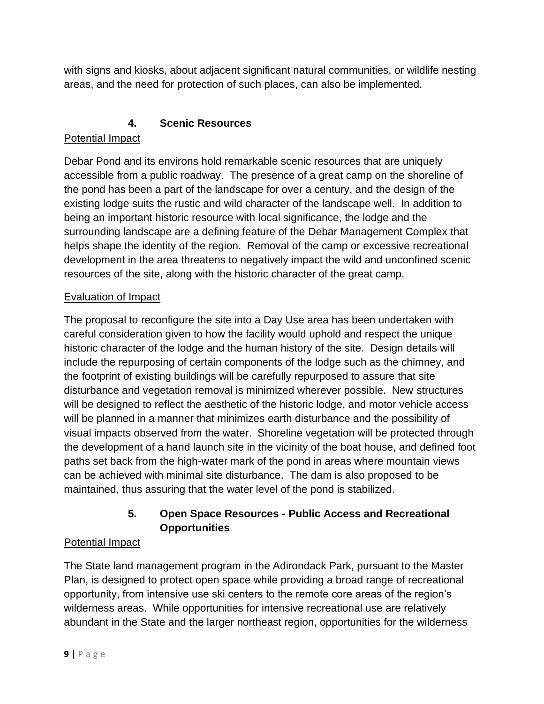with signs and kiosks, about adjacent significant natural communities, or wildlife nesting areas, and the need for protection of such places, can also be implemented.

## **4. Scenic Resources**

# <span id="page-10-0"></span>Potential Impact

Debar Pond and its environs hold remarkable scenic resources that are uniquely accessible from a public roadway. The presence of a great camp on the shoreline of the pond has been a part of the landscape for over a century, and the design of the existing lodge suits the rustic and wild character of the landscape well. In addition to being an important historic resource with local significance, the lodge and the surrounding landscape are a defining feature of the Debar Management Complex that helps shape the identity of the region. Removal of the camp or excessive recreational development in the area threatens to negatively impact the wild and unconfined scenic resources of the site, along with the historic character of the great camp.

# Evaluation of Impact

The proposal to reconfigure the site into a Day Use area has been undertaken with careful consideration given to how the facility would uphold and respect the unique historic character of the lodge and the human history of the site. Design details will include the repurposing of certain components of the lodge such as the chimney, and the footprint of existing buildings will be carefully repurposed to assure that site disturbance and vegetation removal is minimized wherever possible. New structures will be designed to reflect the aesthetic of the historic lodge, and motor vehicle access will be planned in a manner that minimizes earth disturbance and the possibility of visual impacts observed from the water. Shoreline vegetation will be protected through the development of a hand launch site in the vicinity of the boat house, and defined foot paths set back from the high-water mark of the pond in areas where mountain views can be achieved with minimal site disturbance. The dam is also proposed to be maintained, thus assuring that the water level of the pond is stabilized.

# **5. Open Space Resources - Public Access and Recreational Opportunities**

#### <span id="page-10-1"></span>Potential Impact

The State land management program in the Adirondack Park, pursuant to the Master Plan, is designed to protect open space while providing a broad range of recreational opportunity, from intensive use ski centers to the remote core areas of the region's wilderness areas. While opportunities for intensive recreational use are relatively abundant in the State and the larger northeast region, opportunities for the wilderness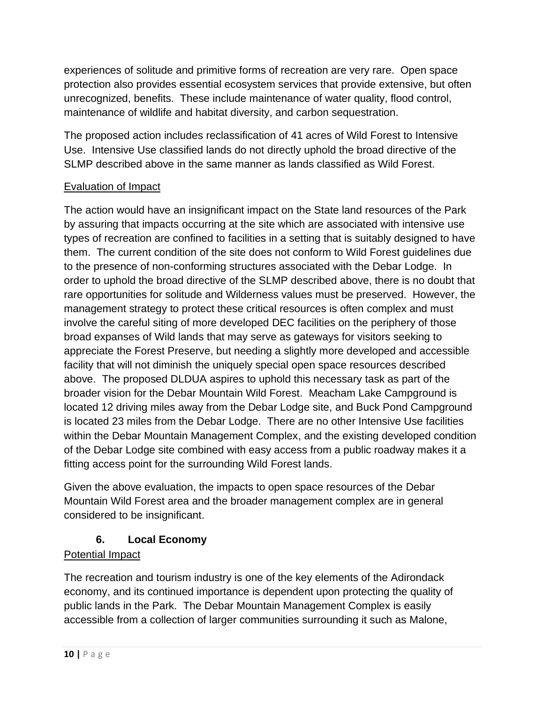experiences of solitude and primitive forms of recreation are very rare. Open space protection also provides essential ecosystem services that provide extensive, but often unrecognized, benefits. These include maintenance of water quality, flood control, maintenance of wildlife and habitat diversity, and carbon sequestration.

The proposed action includes reclassification of 41 acres of Wild Forest to Intensive Use. Intensive Use classified lands do not directly uphold the broad directive of the SLMP described above in the same manner as lands classified as Wild Forest.

# Evaluation of Impact

The action would have an insignificant impact on the State land resources of the Park by assuring that impacts occurring at the site which are associated with intensive use types of recreation are confined to facilities in a setting that is suitably designed to have them. The current condition of the site does not conform to Wild Forest guidelines due to the presence of non-conforming structures associated with the Debar Lodge. In order to uphold the broad directive of the SLMP described above, there is no doubt that rare opportunities for solitude and Wilderness values must be preserved. However, the management strategy to protect these critical resources is often complex and must involve the careful siting of more developed DEC facilities on the periphery of those broad expanses of Wild lands that may serve as gateways for visitors seeking to appreciate the Forest Preserve, but needing a slightly more developed and accessible facility that will not diminish the uniquely special open space resources described above. The proposed DLDUA aspires to uphold this necessary task as part of the broader vision for the Debar Mountain Wild Forest. Meacham Lake Campground is located 12 driving miles away from the Debar Lodge site, and Buck Pond Campground is located 23 miles from the Debar Lodge. There are no other Intensive Use facilities within the Debar Mountain Management Complex, and the existing developed condition of the Debar Lodge site combined with easy access from a public roadway makes it a fitting access point for the surrounding Wild Forest lands.

Given the above evaluation, the impacts to open space resources of the Debar Mountain Wild Forest area and the broader management complex are in general considered to be insignificant.

#### **6. Local Economy**

#### <span id="page-11-0"></span>Potential Impact

The recreation and tourism industry is one of the key elements of the Adirondack economy, and its continued importance is dependent upon protecting the quality of public lands in the Park. The Debar Mountain Management Complex is easily accessible from a collection of larger communities surrounding it such as Malone,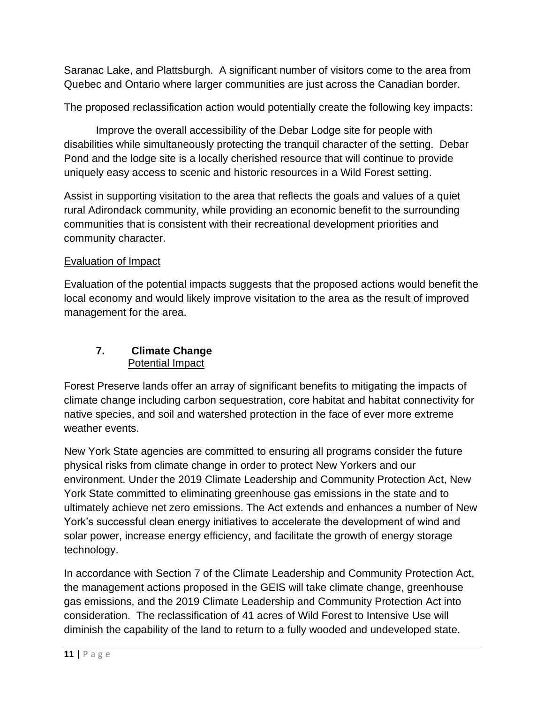Saranac Lake, and Plattsburgh. A significant number of visitors come to the area from Quebec and Ontario where larger communities are just across the Canadian border.

The proposed reclassification action would potentially create the following key impacts:

Improve the overall accessibility of the Debar Lodge site for people with disabilities while simultaneously protecting the tranquil character of the setting. Debar Pond and the lodge site is a locally cherished resource that will continue to provide uniquely easy access to scenic and historic resources in a Wild Forest setting.

Assist in supporting visitation to the area that reflects the goals and values of a quiet rural Adirondack community, while providing an economic benefit to the surrounding communities that is consistent with their recreational development priorities and community character.

#### Evaluation of Impact

Evaluation of the potential impacts suggests that the proposed actions would benefit the local economy and would likely improve visitation to the area as the result of improved management for the area.

#### <span id="page-12-0"></span>**7. Climate Change** Potential Impact

Forest Preserve lands offer an array of significant benefits to mitigating the impacts of climate change including carbon sequestration, core habitat and habitat connectivity for native species, and soil and watershed protection in the face of ever more extreme weather events.

New York State agencies are committed to ensuring all programs consider the future physical risks from climate change in order to protect New Yorkers and our environment. Under the 2019 Climate Leadership and Community Protection Act, New York State committed to eliminating greenhouse gas emissions in the state and to ultimately achieve net zero emissions. The Act extends and enhances a number of New York's successful clean energy initiatives to accelerate the development of wind and solar power, increase energy efficiency, and facilitate the growth of energy storage technology.

In accordance with Section 7 of the Climate Leadership and Community Protection Act, the management actions proposed in the GEIS will take climate change, greenhouse gas emissions, and the 2019 Climate Leadership and Community Protection Act into consideration. The reclassification of 41 acres of Wild Forest to Intensive Use will diminish the capability of the land to return to a fully wooded and undeveloped state.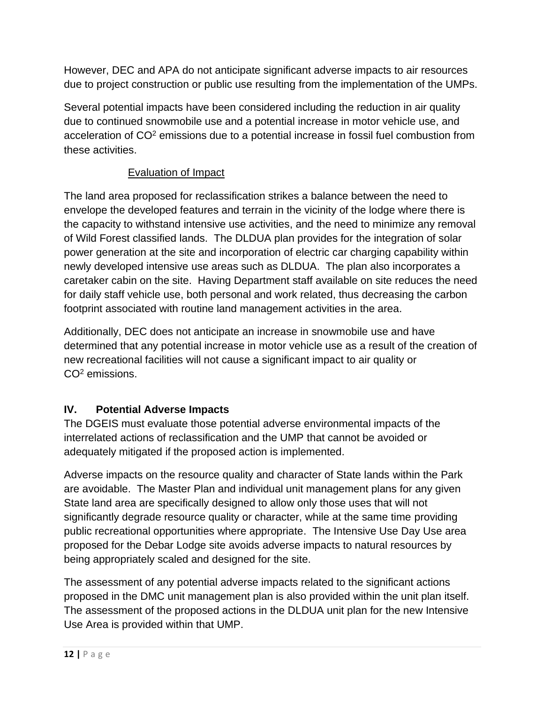However, DEC and APA do not anticipate significant adverse impacts to air resources due to project construction or public use resulting from the implementation of the UMPs.

Several potential impacts have been considered including the reduction in air quality due to continued snowmobile use and a potential increase in motor vehicle use, and acceleration of CO<sup>2</sup> emissions due to a potential increase in fossil fuel combustion from these activities.

## Evaluation of Impact

The land area proposed for reclassification strikes a balance between the need to envelope the developed features and terrain in the vicinity of the lodge where there is the capacity to withstand intensive use activities, and the need to minimize any removal of Wild Forest classified lands. The DLDUA plan provides for the integration of solar power generation at the site and incorporation of electric car charging capability within newly developed intensive use areas such as DLDUA. The plan also incorporates a caretaker cabin on the site. Having Department staff available on site reduces the need for daily staff vehicle use, both personal and work related, thus decreasing the carbon footprint associated with routine land management activities in the area.

Additionally, DEC does not anticipate an increase in snowmobile use and have determined that any potential increase in motor vehicle use as a result of the creation of new recreational facilities will not cause a significant impact to air quality or CO<sup>2</sup> emissions.

# <span id="page-13-0"></span>**IV. Potential Adverse Impacts**

The DGEIS must evaluate those potential adverse environmental impacts of the interrelated actions of reclassification and the UMP that cannot be avoided or adequately mitigated if the proposed action is implemented.

Adverse impacts on the resource quality and character of State lands within the Park are avoidable. The Master Plan and individual unit management plans for any given State land area are specifically designed to allow only those uses that will not significantly degrade resource quality or character, while at the same time providing public recreational opportunities where appropriate. The Intensive Use Day Use area proposed for the Debar Lodge site avoids adverse impacts to natural resources by being appropriately scaled and designed for the site.

The assessment of any potential adverse impacts related to the significant actions proposed in the DMC unit management plan is also provided within the unit plan itself. The assessment of the proposed actions in the DLDUA unit plan for the new Intensive Use Area is provided within that UMP.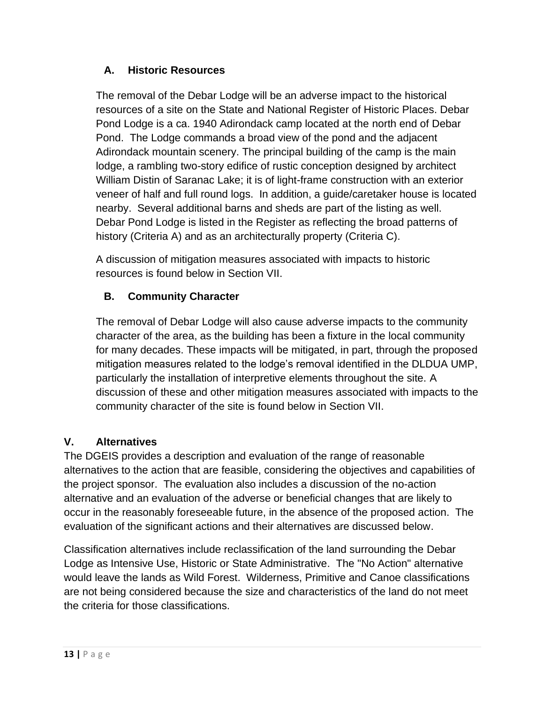#### <span id="page-14-0"></span>**A. Historic Resources**

The removal of the Debar Lodge will be an adverse impact to the historical resources of a site on the State and National Register of Historic Places. Debar Pond Lodge is a ca. 1940 Adirondack camp located at the north end of Debar Pond. The Lodge commands a broad view of the pond and the adjacent Adirondack mountain scenery. The principal building of the camp is the main lodge, a rambling two-story edifice of rustic conception designed by architect William Distin of Saranac Lake; it is of light-frame construction with an exterior veneer of half and full round logs. In addition, a guide/caretaker house is located nearby. Several additional barns and sheds are part of the listing as well. Debar Pond Lodge is listed in the Register as reflecting the broad patterns of history (Criteria A) and as an architecturally property (Criteria C).

A discussion of mitigation measures associated with impacts to historic resources is found below in Section VII.

## <span id="page-14-1"></span>**B. Community Character**

The removal of Debar Lodge will also cause adverse impacts to the community character of the area, as the building has been a fixture in the local community for many decades. These impacts will be mitigated, in part, through the proposed mitigation measures related to the lodge's removal identified in the DLDUA UMP, particularly the installation of interpretive elements throughout the site. A discussion of these and other mitigation measures associated with impacts to the community character of the site is found below in Section VII.

#### <span id="page-14-2"></span>**V. Alternatives**

The DGEIS provides a description and evaluation of the range of reasonable alternatives to the action that are feasible, considering the objectives and capabilities of the project sponsor. The evaluation also includes a discussion of the no-action alternative and an evaluation of the adverse or beneficial changes that are likely to occur in the reasonably foreseeable future, in the absence of the proposed action. The evaluation of the significant actions and their alternatives are discussed below.

Classification alternatives include reclassification of the land surrounding the Debar Lodge as Intensive Use, Historic or State Administrative. The "No Action" alternative would leave the lands as Wild Forest. Wilderness, Primitive and Canoe classifications are not being considered because the size and characteristics of the land do not meet the criteria for those classifications.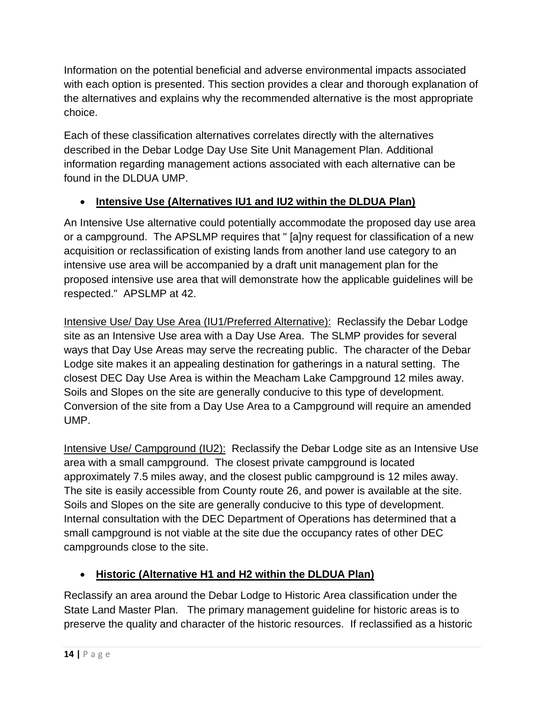Information on the potential beneficial and adverse environmental impacts associated with each option is presented. This section provides a clear and thorough explanation of the alternatives and explains why the recommended alternative is the most appropriate choice.

Each of these classification alternatives correlates directly with the alternatives described in the Debar Lodge Day Use Site Unit Management Plan. Additional information regarding management actions associated with each alternative can be found in the DLDUA UMP.

# • **Intensive Use (Alternatives IU1 and IU2 within the DLDUA Plan)**

An Intensive Use alternative could potentially accommodate the proposed day use area or a campground. The APSLMP requires that " [a]ny request for classification of a new acquisition or reclassification of existing lands from another land use category to an intensive use area will be accompanied by a draft unit management plan for the proposed intensive use area that will demonstrate how the applicable guidelines will be respected." APSLMP at 42.

Intensive Use/ Day Use Area (IU1/Preferred Alternative): Reclassify the Debar Lodge site as an Intensive Use area with a Day Use Area. The SLMP provides for several ways that Day Use Areas may serve the recreating public. The character of the Debar Lodge site makes it an appealing destination for gatherings in a natural setting. The closest DEC Day Use Area is within the Meacham Lake Campground 12 miles away. Soils and Slopes on the site are generally conducive to this type of development. Conversion of the site from a Day Use Area to a Campground will require an amended UMP.

Intensive Use/ Campground (IU2): Reclassify the Debar Lodge site as an Intensive Use area with a small campground. The closest private campground is located approximately 7.5 miles away, and the closest public campground is 12 miles away. The site is easily accessible from County route 26, and power is available at the site. Soils and Slopes on the site are generally conducive to this type of development. Internal consultation with the DEC Department of Operations has determined that a small campground is not viable at the site due the occupancy rates of other DEC campgrounds close to the site.

# • **Historic (Alternative H1 and H2 within the DLDUA Plan)**

Reclassify an area around the Debar Lodge to Historic Area classification under the State Land Master Plan. The primary management guideline for historic areas is to preserve the quality and character of the historic resources. If reclassified as a historic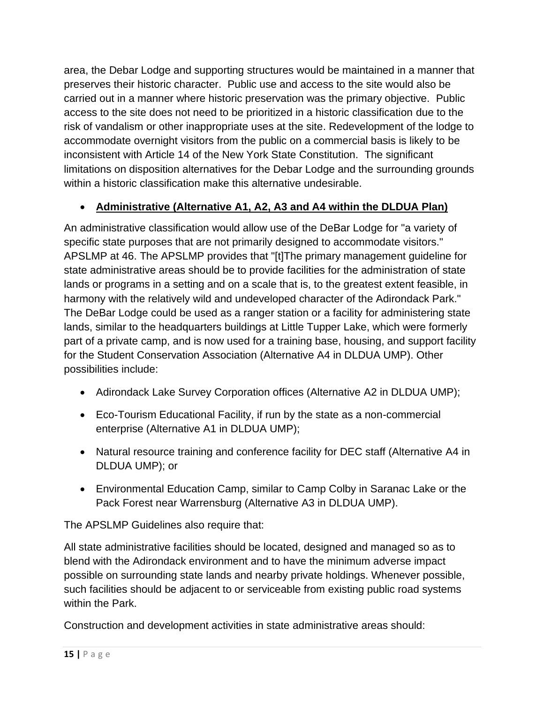area, the Debar Lodge and supporting structures would be maintained in a manner that preserves their historic character. Public use and access to the site would also be carried out in a manner where historic preservation was the primary objective. Public access to the site does not need to be prioritized in a historic classification due to the risk of vandalism or other inappropriate uses at the site. Redevelopment of the lodge to accommodate overnight visitors from the public on a commercial basis is likely to be inconsistent with Article 14 of the New York State Constitution. The significant limitations on disposition alternatives for the Debar Lodge and the surrounding grounds within a historic classification make this alternative undesirable.

## • **Administrative (Alternative A1, A2, A3 and A4 within the DLDUA Plan)**

An administrative classification would allow use of the DeBar Lodge for "a variety of specific state purposes that are not primarily designed to accommodate visitors." APSLMP at 46. The APSLMP provides that "[t]The primary management guideline for state administrative areas should be to provide facilities for the administration of state lands or programs in a setting and on a scale that is, to the greatest extent feasible, in harmony with the relatively wild and undeveloped character of the Adirondack Park." The DeBar Lodge could be used as a ranger station or a facility for administering state lands, similar to the headquarters buildings at Little Tupper Lake, which were formerly part of a private camp, and is now used for a training base, housing, and support facility for the Student Conservation Association (Alternative A4 in DLDUA UMP). Other possibilities include:

- Adirondack Lake Survey Corporation offices (Alternative A2 in DLDUA UMP);
- Eco-Tourism Educational Facility, if run by the state as a non-commercial enterprise (Alternative A1 in DLDUA UMP);
- Natural resource training and conference facility for DEC staff (Alternative A4 in DLDUA UMP); or
- Environmental Education Camp, similar to Camp Colby in Saranac Lake or the Pack Forest near Warrensburg (Alternative A3 in DLDUA UMP).

The APSLMP Guidelines also require that:

All state administrative facilities should be located, designed and managed so as to blend with the Adirondack environment and to have the minimum adverse impact possible on surrounding state lands and nearby private holdings. Whenever possible, such facilities should be adjacent to or serviceable from existing public road systems within the Park.

Construction and development activities in state administrative areas should: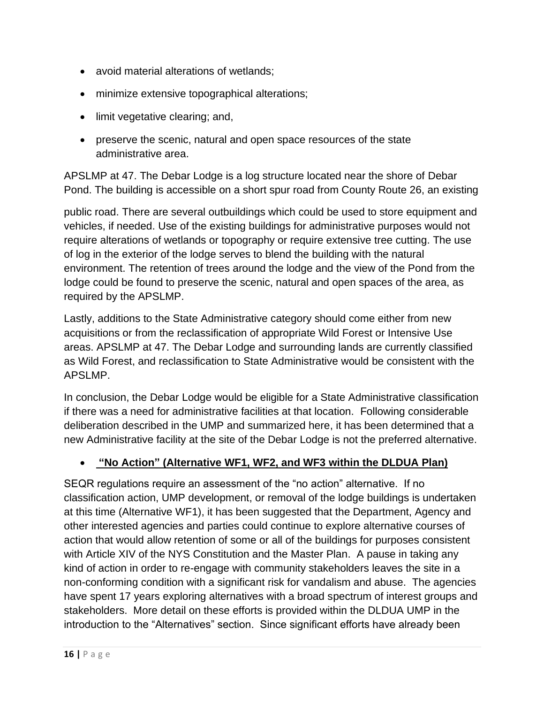- avoid material alterations of wetlands;
- minimize extensive topographical alterations;
- limit vegetative clearing; and,
- preserve the scenic, natural and open space resources of the state administrative area.

APSLMP at 47. The Debar Lodge is a log structure located near the shore of Debar Pond. The building is accessible on a short spur road from County Route 26, an existing

public road. There are several outbuildings which could be used to store equipment and vehicles, if needed. Use of the existing buildings for administrative purposes would not require alterations of wetlands or topography or require extensive tree cutting. The use of log in the exterior of the lodge serves to blend the building with the natural environment. The retention of trees around the lodge and the view of the Pond from the lodge could be found to preserve the scenic, natural and open spaces of the area, as required by the APSLMP.

Lastly, additions to the State Administrative category should come either from new acquisitions or from the reclassification of appropriate Wild Forest or Intensive Use areas. APSLMP at 47. The Debar Lodge and surrounding lands are currently classified as Wild Forest, and reclassification to State Administrative would be consistent with the APSLMP.

In conclusion, the Debar Lodge would be eligible for a State Administrative classification if there was a need for administrative facilities at that location. Following considerable deliberation described in the UMP and summarized here, it has been determined that a new Administrative facility at the site of the Debar Lodge is not the preferred alternative.

#### • **"No Action" (Alternative WF1, WF2, and WF3 within the DLDUA Plan)**

SEQR regulations require an assessment of the "no action" alternative. If no classification action, UMP development, or removal of the lodge buildings is undertaken at this time (Alternative WF1), it has been suggested that the Department, Agency and other interested agencies and parties could continue to explore alternative courses of action that would allow retention of some or all of the buildings for purposes consistent with Article XIV of the NYS Constitution and the Master Plan. A pause in taking any kind of action in order to re-engage with community stakeholders leaves the site in a non-conforming condition with a significant risk for vandalism and abuse. The agencies have spent 17 years exploring alternatives with a broad spectrum of interest groups and stakeholders. More detail on these efforts is provided within the DLDUA UMP in the introduction to the "Alternatives" section. Since significant efforts have already been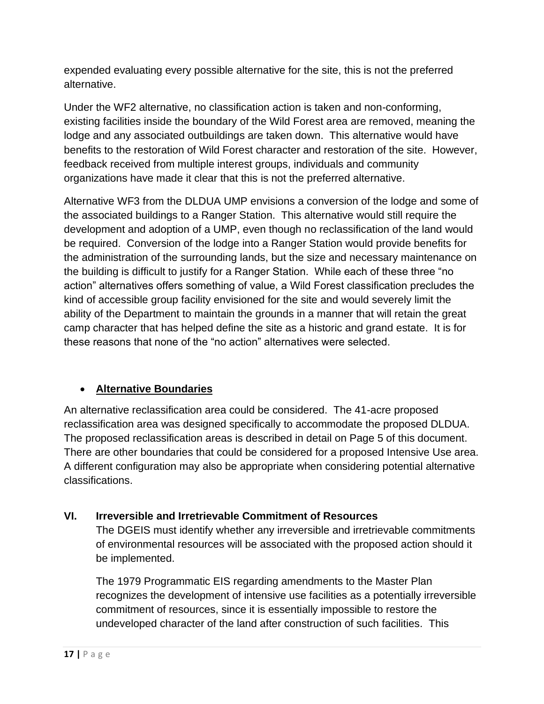expended evaluating every possible alternative for the site, this is not the preferred alternative.

Under the WF2 alternative, no classification action is taken and non-conforming, existing facilities inside the boundary of the Wild Forest area are removed, meaning the lodge and any associated outbuildings are taken down. This alternative would have benefits to the restoration of Wild Forest character and restoration of the site. However, feedback received from multiple interest groups, individuals and community organizations have made it clear that this is not the preferred alternative.

Alternative WF3 from the DLDUA UMP envisions a conversion of the lodge and some of the associated buildings to a Ranger Station. This alternative would still require the development and adoption of a UMP, even though no reclassification of the land would be required. Conversion of the lodge into a Ranger Station would provide benefits for the administration of the surrounding lands, but the size and necessary maintenance on the building is difficult to justify for a Ranger Station. While each of these three "no action" alternatives offers something of value, a Wild Forest classification precludes the kind of accessible group facility envisioned for the site and would severely limit the ability of the Department to maintain the grounds in a manner that will retain the great camp character that has helped define the site as a historic and grand estate. It is for these reasons that none of the "no action" alternatives were selected.

#### • **Alternative Boundaries**

An alternative reclassification area could be considered. The 41-acre proposed reclassification area was designed specifically to accommodate the proposed DLDUA. The proposed reclassification areas is described in detail on Page 5 of this document. There are other boundaries that could be considered for a proposed Intensive Use area. A different configuration may also be appropriate when considering potential alternative classifications.

#### <span id="page-18-0"></span>**VI. Irreversible and Irretrievable Commitment of Resources**

The DGEIS must identify whether any irreversible and irretrievable commitments of environmental resources will be associated with the proposed action should it be implemented.

The 1979 Programmatic EIS regarding amendments to the Master Plan recognizes the development of intensive use facilities as a potentially irreversible commitment of resources, since it is essentially impossible to restore the undeveloped character of the land after construction of such facilities. This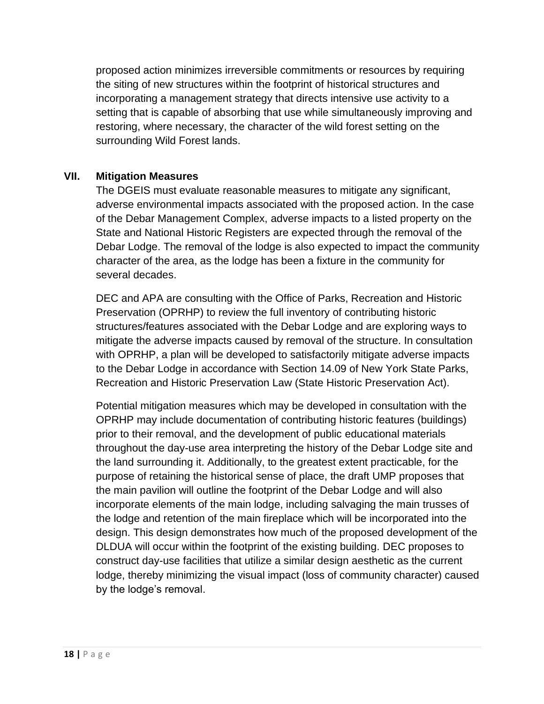proposed action minimizes irreversible commitments or resources by requiring the siting of new structures within the footprint of historical structures and incorporating a management strategy that directs intensive use activity to a setting that is capable of absorbing that use while simultaneously improving and restoring, where necessary, the character of the wild forest setting on the surrounding Wild Forest lands.

#### <span id="page-19-0"></span>**VII. Mitigation Measures**

The DGEIS must evaluate reasonable measures to mitigate any significant, adverse environmental impacts associated with the proposed action. In the case of the Debar Management Complex, adverse impacts to a listed property on the State and National Historic Registers are expected through the removal of the Debar Lodge. The removal of the lodge is also expected to impact the community character of the area, as the lodge has been a fixture in the community for several decades.

DEC and APA are consulting with the Office of Parks, Recreation and Historic Preservation (OPRHP) to review the full inventory of contributing historic structures/features associated with the Debar Lodge and are exploring ways to mitigate the adverse impacts caused by removal of the structure. In consultation with OPRHP, a plan will be developed to satisfactorily mitigate adverse impacts to the Debar Lodge in accordance with Section 14.09 of New York State Parks, Recreation and Historic Preservation Law (State Historic Preservation Act).

Potential mitigation measures which may be developed in consultation with the OPRHP may include documentation of contributing historic features (buildings) prior to their removal, and the development of public educational materials throughout the day-use area interpreting the history of the Debar Lodge site and the land surrounding it. Additionally, to the greatest extent practicable, for the purpose of retaining the historical sense of place, the draft UMP proposes that the main pavilion will outline the footprint of the Debar Lodge and will also incorporate elements of the main lodge, including salvaging the main trusses of the lodge and retention of the main fireplace which will be incorporated into the design. This design demonstrates how much of the proposed development of the DLDUA will occur within the footprint of the existing building. DEC proposes to construct day-use facilities that utilize a similar design aesthetic as the current lodge, thereby minimizing the visual impact (loss of community character) caused by the lodge's removal.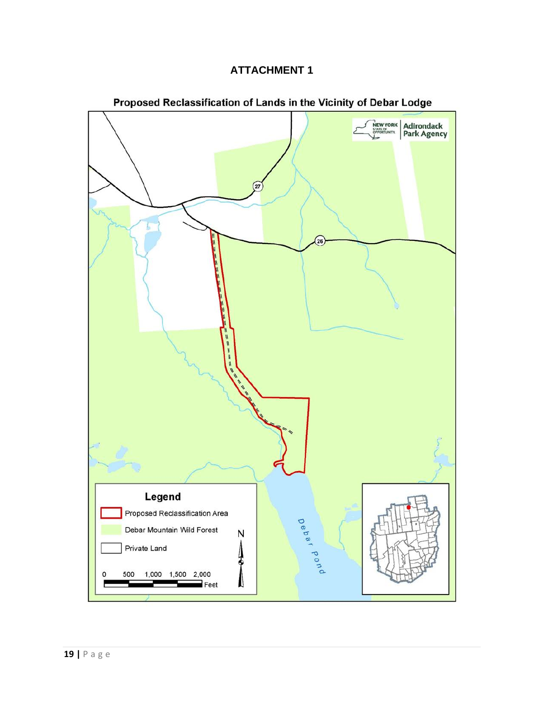#### **ATTACHMENT 1**



#### Proposed Reclassification of Lands in the Vicinity of Debar Lodge